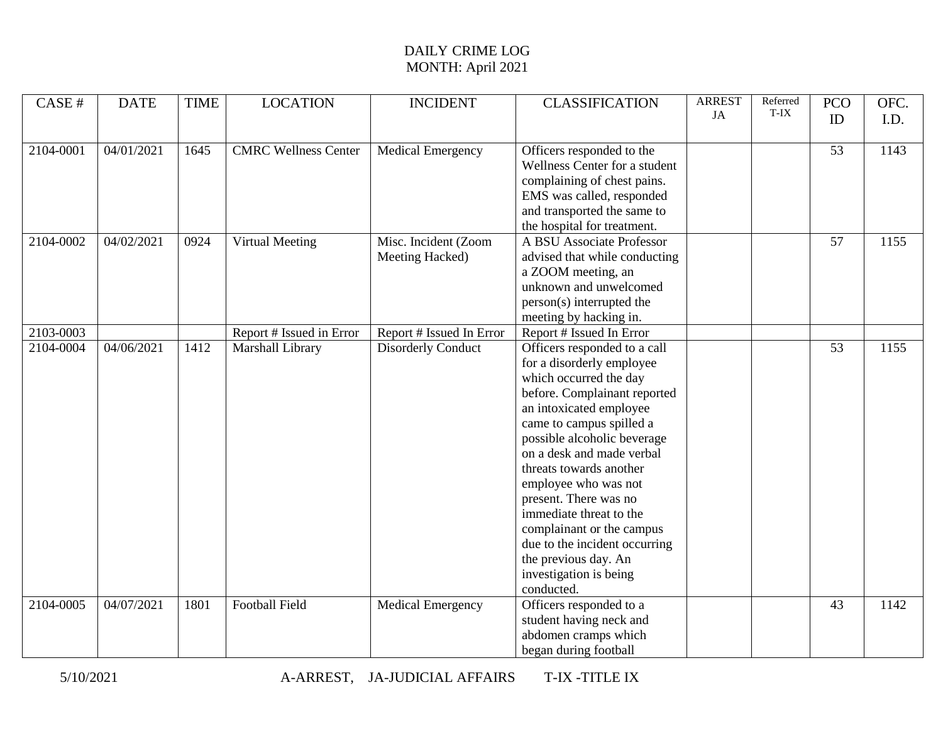| CASE #    | <b>DATE</b> | <b>TIME</b> | <b>LOCATION</b>             | <b>INCIDENT</b>           | <b>CLASSIFICATION</b>                | <b>ARREST</b> | Referred<br>T-IX | <b>PCO</b>      | OFC. |
|-----------|-------------|-------------|-----------------------------|---------------------------|--------------------------------------|---------------|------------------|-----------------|------|
|           |             |             |                             |                           |                                      | JA            |                  | ID              | I.D. |
| 2104-0001 | 04/01/2021  | 1645        | <b>CMRC Wellness Center</b> | <b>Medical Emergency</b>  | Officers responded to the            |               |                  | $\overline{53}$ | 1143 |
|           |             |             |                             |                           | Wellness Center for a student        |               |                  |                 |      |
|           |             |             |                             |                           | complaining of chest pains.          |               |                  |                 |      |
|           |             |             |                             |                           | EMS was called, responded            |               |                  |                 |      |
|           |             |             |                             |                           | and transported the same to          |               |                  |                 |      |
|           |             |             |                             |                           | the hospital for treatment.          |               |                  |                 |      |
| 2104-0002 | 04/02/2021  | 0924        | Virtual Meeting             | Misc. Incident (Zoom      | A BSU Associate Professor            |               |                  | $\overline{57}$ | 1155 |
|           |             |             |                             | Meeting Hacked)           | advised that while conducting        |               |                  |                 |      |
|           |             |             |                             |                           | a ZOOM meeting, an                   |               |                  |                 |      |
|           |             |             |                             |                           | unknown and unwelcomed               |               |                  |                 |      |
|           |             |             |                             |                           | person(s) interrupted the            |               |                  |                 |      |
|           |             |             |                             |                           | meeting by hacking in.               |               |                  |                 |      |
| 2103-0003 |             |             | Report # Issued in Error    | Report # Issued In Error  | Report # Issued In Error             |               |                  |                 |      |
| 2104-0004 | 04/06/2021  | 1412        | Marshall Library            | <b>Disorderly Conduct</b> | Officers responded to a call         |               |                  | 53              | 1155 |
|           |             |             |                             |                           | for a disorderly employee            |               |                  |                 |      |
|           |             |             |                             |                           | which occurred the day               |               |                  |                 |      |
|           |             |             |                             |                           | before. Complainant reported         |               |                  |                 |      |
|           |             |             |                             |                           | an intoxicated employee              |               |                  |                 |      |
|           |             |             |                             |                           | came to campus spilled a             |               |                  |                 |      |
|           |             |             |                             |                           | possible alcoholic beverage          |               |                  |                 |      |
|           |             |             |                             |                           | on a desk and made verbal            |               |                  |                 |      |
|           |             |             |                             |                           | threats towards another              |               |                  |                 |      |
|           |             |             |                             |                           | employee who was not                 |               |                  |                 |      |
|           |             |             |                             |                           | present. There was no                |               |                  |                 |      |
|           |             |             |                             |                           | immediate threat to the              |               |                  |                 |      |
|           |             |             |                             |                           | complainant or the campus            |               |                  |                 |      |
|           |             |             |                             |                           | due to the incident occurring        |               |                  |                 |      |
|           |             |             |                             |                           | the previous day. An                 |               |                  |                 |      |
|           |             |             |                             |                           | investigation is being<br>conducted. |               |                  |                 |      |
| 2104-0005 | 04/07/2021  | 1801        | <b>Football Field</b>       | <b>Medical Emergency</b>  | Officers responded to a              |               |                  | 43              | 1142 |
|           |             |             |                             |                           | student having neck and              |               |                  |                 |      |
|           |             |             |                             |                           | abdomen cramps which                 |               |                  |                 |      |
|           |             |             |                             |                           | began during football                |               |                  |                 |      |
|           |             |             |                             |                           |                                      |               |                  |                 |      |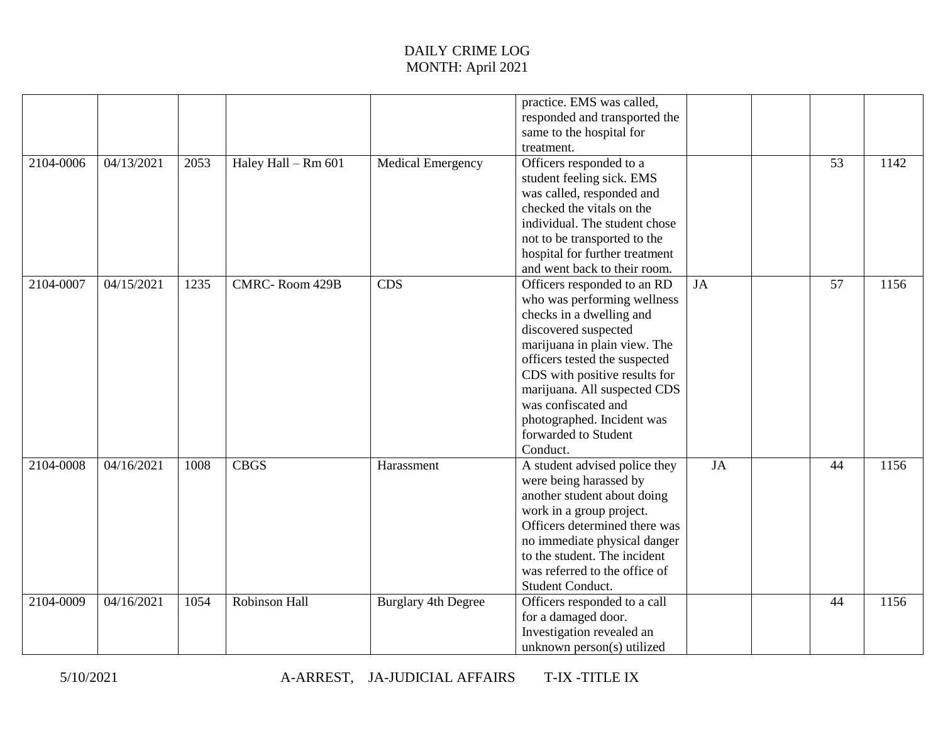| 2104-0006 | 04/13/2021 | 2053 | Haley Hall - Rm 601   | <b>Medical Emergency</b>   | practice. EMS was called,<br>responded and transported the<br>same to the hospital for<br>treatment.<br>Officers responded to a<br>student feeling sick. EMS<br>was called, responded and<br>checked the vitals on the<br>individual. The student chose<br>not to be transported to the<br>hospital for further treatment<br>and went back to their room. |    | 53 | 1142 |
|-----------|------------|------|-----------------------|----------------------------|-----------------------------------------------------------------------------------------------------------------------------------------------------------------------------------------------------------------------------------------------------------------------------------------------------------------------------------------------------------|----|----|------|
| 2104-0007 | 04/15/2021 | 1235 | <b>CMRC-Room 429B</b> | <b>CDS</b>                 | Officers responded to an RD<br>who was performing wellness<br>checks in a dwelling and<br>discovered suspected<br>marijuana in plain view. The<br>officers tested the suspected<br>CDS with positive results for<br>marijuana. All suspected CDS<br>was confiscated and<br>photographed. Incident was<br>forwarded to Student<br>Conduct.                 | JA | 57 | 1156 |
| 2104-0008 | 04/16/2021 | 1008 | <b>CBGS</b>           | Harassment                 | A student advised police they<br>were being harassed by<br>another student about doing<br>work in a group project.<br>Officers determined there was<br>no immediate physical danger<br>to the student. The incident<br>was referred to the office of<br>Student Conduct.                                                                                  | JA | 44 | 1156 |
| 2104-0009 | 04/16/2021 | 1054 | Robinson Hall         | <b>Burglary 4th Degree</b> | Officers responded to a call<br>for a damaged door.<br>Investigation revealed an<br>unknown person(s) utilized                                                                                                                                                                                                                                            |    | 44 | 1156 |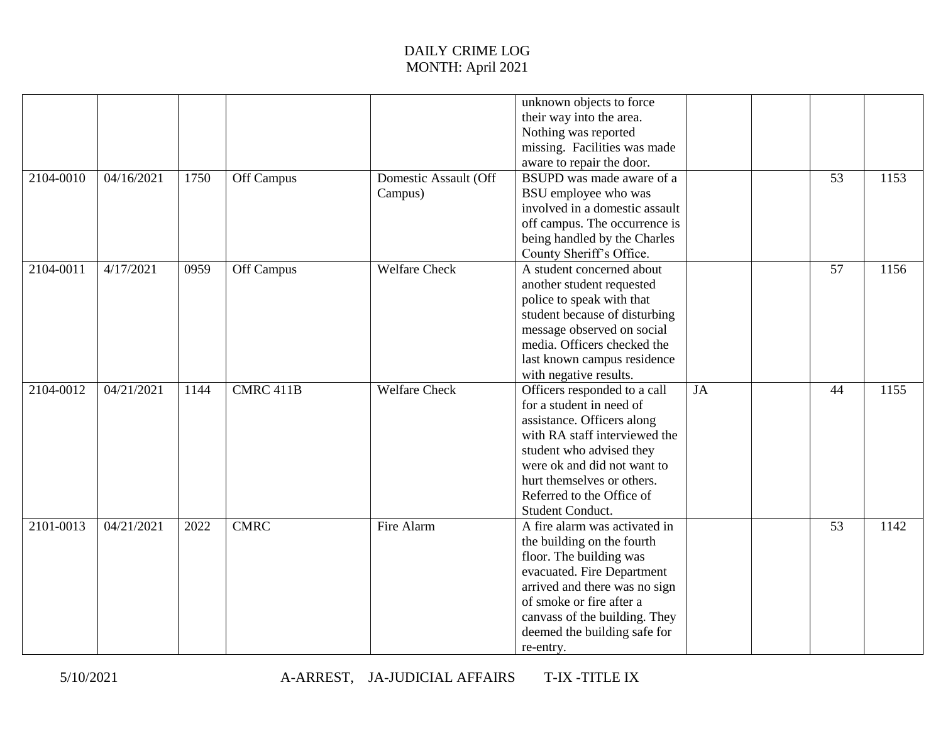|           |            |      |             |                       | unknown objects to force       |    |                 |      |
|-----------|------------|------|-------------|-----------------------|--------------------------------|----|-----------------|------|
|           |            |      |             |                       | their way into the area.       |    |                 |      |
|           |            |      |             |                       | Nothing was reported           |    |                 |      |
|           |            |      |             |                       | missing. Facilities was made   |    |                 |      |
|           |            |      |             |                       | aware to repair the door.      |    |                 |      |
| 2104-0010 | 04/16/2021 | 1750 | Off Campus  | Domestic Assault (Off | BSUPD was made aware of a      |    | 53              | 1153 |
|           |            |      |             | Campus)               | BSU employee who was           |    |                 |      |
|           |            |      |             |                       | involved in a domestic assault |    |                 |      |
|           |            |      |             |                       | off campus. The occurrence is  |    |                 |      |
|           |            |      |             |                       | being handled by the Charles   |    |                 |      |
|           |            |      |             |                       | County Sheriff's Office.       |    |                 |      |
| 2104-0011 | 4/17/2021  | 0959 | Off Campus  | <b>Welfare Check</b>  | A student concerned about      |    | $\overline{57}$ | 1156 |
|           |            |      |             |                       | another student requested      |    |                 |      |
|           |            |      |             |                       | police to speak with that      |    |                 |      |
|           |            |      |             |                       | student because of disturbing  |    |                 |      |
|           |            |      |             |                       | message observed on social     |    |                 |      |
|           |            |      |             |                       | media. Officers checked the    |    |                 |      |
|           |            |      |             |                       | last known campus residence    |    |                 |      |
|           |            |      |             |                       | with negative results.         |    |                 |      |
| 2104-0012 | 04/21/2021 | 1144 | CMRC 411B   | <b>Welfare Check</b>  | Officers responded to a call   | JA | 44              | 1155 |
|           |            |      |             |                       | for a student in need of       |    |                 |      |
|           |            |      |             |                       | assistance. Officers along     |    |                 |      |
|           |            |      |             |                       | with RA staff interviewed the  |    |                 |      |
|           |            |      |             |                       | student who advised they       |    |                 |      |
|           |            |      |             |                       | were ok and did not want to    |    |                 |      |
|           |            |      |             |                       | hurt themselves or others.     |    |                 |      |
|           |            |      |             |                       | Referred to the Office of      |    |                 |      |
|           |            |      |             |                       | Student Conduct.               |    |                 |      |
| 2101-0013 | 04/21/2021 | 2022 | <b>CMRC</b> | Fire Alarm            | A fire alarm was activated in  |    | $\overline{53}$ | 1142 |
|           |            |      |             |                       | the building on the fourth     |    |                 |      |
|           |            |      |             |                       | floor. The building was        |    |                 |      |
|           |            |      |             |                       | evacuated. Fire Department     |    |                 |      |
|           |            |      |             |                       | arrived and there was no sign  |    |                 |      |
|           |            |      |             |                       | of smoke or fire after a       |    |                 |      |
|           |            |      |             |                       | canvass of the building. They  |    |                 |      |
|           |            |      |             |                       | deemed the building safe for   |    |                 |      |
|           |            |      |             |                       | re-entry.                      |    |                 |      |

5/10/2021 A-ARREST, JA-JUDICIAL AFFAIRS T-IX -TITLE IX